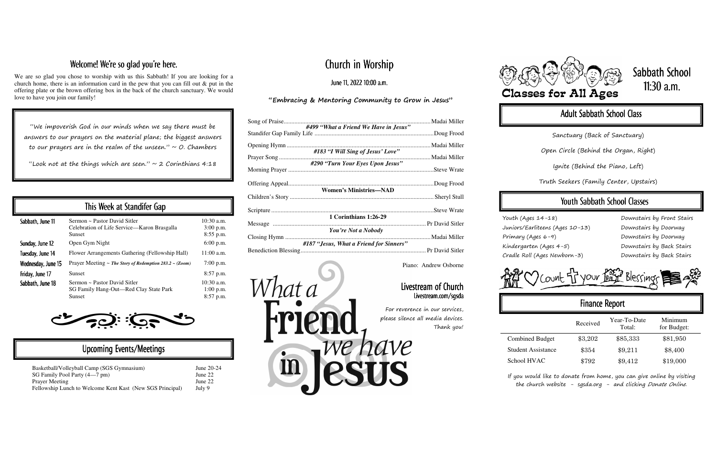# Church in Worship

June 11, 2022 10:00 a.m.

#### "Embracing & Mentoring Community to Grow in Jesus"

|                                         | . Madai Miller |  |  |
|-----------------------------------------|----------------|--|--|
| #499 "What a Friend We Have in Jesus"   |                |  |  |
|                                         |                |  |  |
|                                         | . Madai Miller |  |  |
| #183 "I Will Sing of Jesus' Love"       |                |  |  |
| #290 "Turn Your Eyes Upon Jesus"        |                |  |  |
|                                         |                |  |  |
|                                         |                |  |  |
| <b>Women's Ministries-NAD</b>           |                |  |  |
|                                         |                |  |  |
|                                         |                |  |  |
|                                         |                |  |  |
| 1 Corinthians 1:26-29                   |                |  |  |
| You're Not a Nobody                     |                |  |  |
|                                         | . Madai Miller |  |  |
| #187 "Jesus, What a Friend for Sinners" |                |  |  |
|                                         |                |  |  |

"We impoverish God in our minds when we say there must be answers to our prayers on the material plane; the biggest answers to our prayers are in the realm of the unseen."  $\sim$  O. Chambers

"Look not at the things which are seen."  $\sim$  2 Corinthians 4:18

### Welcome! We're so glad you're here.

We are so glad you chose to worship with us this Sabbath! If you are looking for a church home, there is an information card in the pew that you can fill out & put in the offering plate or the brown offering box in the back of the church sanctuary. We would love to have you join our family!

> If you would like to donate from home, you can give online by visiting the church website - sgsda.org - and clicking Donate Online.

# Sabbath School 11:30 a.m.

## Adult Sabbath School Class

| This Week at Standifer Gap |                                                                                              |                                            |  |
|----------------------------|----------------------------------------------------------------------------------------------|--------------------------------------------|--|
| Sabbath, June 11           | Sermon ~ Pastor David Sitler<br>Celebration of Life Service—Karon Brasgalla<br><b>Sunset</b> | $10:30$ a.m.<br>$3:00$ p.m.<br>$8:55$ p.m. |  |
| Sunday, June 12            | Open Gym Night                                                                               | $6:00$ p.m.                                |  |
| Tuesday, June 14           | Flower Arrangements Gathering (Fellowship Hall)                                              | $11:00$ a.m.                               |  |
| Wednesday, June 15         | Prayer Meeting ~ The Story of Redemption $283.2$ ~ (Zoom)                                    | $7:00$ p.m.                                |  |
| Friday, June 17            | <b>Sunset</b>                                                                                | $8:57$ p.m.                                |  |
| Sabbath, June 18           | Sermon ~ Pastor David Sitler<br>SG Family Hang-Out-Red Clay State Park<br><b>Sunset</b>      | $10:30$ a.m.<br>$1:00$ p.m.<br>8:57 p.m.   |  |

### Upcoming Events/Meetings

| Basketball/Volleyball Camp (SGS Gymnasium)                | June $20-24$ |
|-----------------------------------------------------------|--------------|
| SG Family Pool Party (4—7 pm)                             | June 22      |
| <b>Prayer Meeting</b>                                     | June 22      |
| Fellowship Lunch to Welcome Kent Kast (New SGS Principal) | July 9       |

Youth (Ages 14-18) Juniors/Earliteens (Ages 10-13) Primary (Ages 6-9) Kindergarten (Ages 4-5) Cradle Roll (Ages Newborn-3)

Downstairs by Front Stairs Downstairs by Doorway Downstairs by Doorway Downstairs by Back Stairs Downstairs by Back Stairs

COUNt of your face Blessings

# Finance Report Received Year-To-Date Minimum<br>Total: for Budget: Combined Budget  $$3,202$   $$85,333$   $$81,950$ Student Assistance  $$354$   $$9,211$   $$8,400$ School HVAC  $$792$   $$9,412$   $$19,000$

Sanctuary (Back of Sanctuary)

Open Circle (Behind the Organ, Right)

Ignite (Behind the Piano, Left)

Truth Seekers (Family Center, Upstairs)

## Youth Sabbath School Classes

Piano: Andrew Osborne

#### Livestream of Church Livestream.com/sgsda

For reverence in our services, please silence all media devices. Thank you!



What a